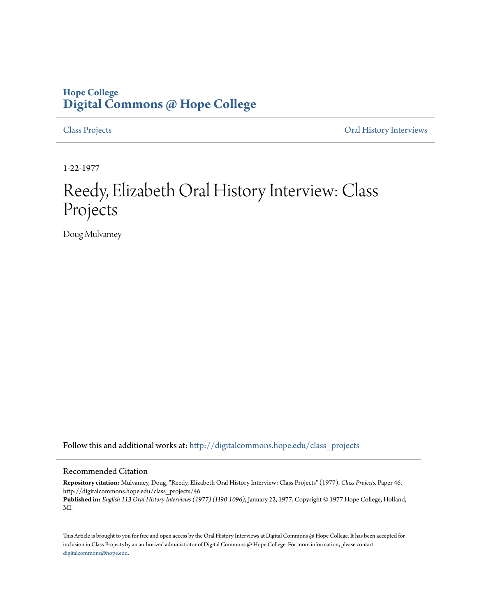## **Hope College [Digital Commons @ Hope College](http://digitalcommons.hope.edu?utm_source=digitalcommons.hope.edu%2Fclass_projects%2F46&utm_medium=PDF&utm_campaign=PDFCoverPages)**

[Class Projects](http://digitalcommons.hope.edu/class_projects?utm_source=digitalcommons.hope.edu%2Fclass_projects%2F46&utm_medium=PDF&utm_campaign=PDFCoverPages) [Oral History Interviews](http://digitalcommons.hope.edu/oral_histories?utm_source=digitalcommons.hope.edu%2Fclass_projects%2F46&utm_medium=PDF&utm_campaign=PDFCoverPages)

1-22-1977

## Reedy, Elizabeth Oral History Interview: Class Projects

Doug Mulvamey

Follow this and additional works at: [http://digitalcommons.hope.edu/class\\_projects](http://digitalcommons.hope.edu/class_projects?utm_source=digitalcommons.hope.edu%2Fclass_projects%2F46&utm_medium=PDF&utm_campaign=PDFCoverPages)

## Recommended Citation

**Repository citation:** Mulvamey, Doug, "Reedy, Elizabeth Oral History Interview: Class Projects" (1977). *Class Projects.* Paper 46. http://digitalcommons.hope.edu/class\_projects/46

**Published in:** *English 113 Oral History Interviews (1977) (H90-1096)*, January 22, 1977. Copyright © 1977 Hope College, Holland, MI.

This Article is brought to you for free and open access by the Oral History Interviews at Digital Commons @ Hope College. It has been accepted for inclusion in Class Projects by an authorized administrator of Digital Commons @ Hope College. For more information, please contact [digitalcommons@hope.edu.](mailto:digitalcommons@hope.edu)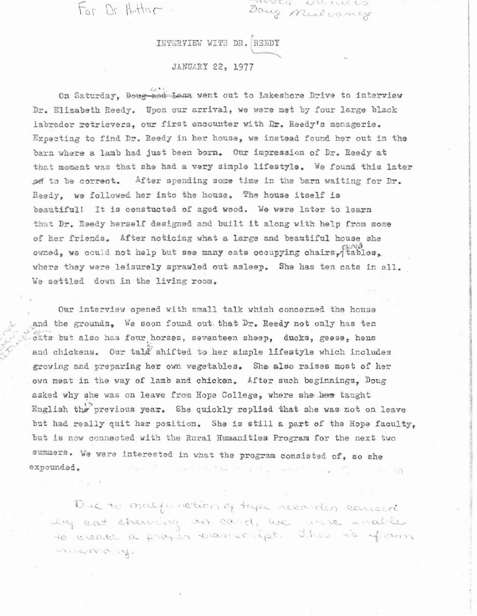For Dr. Huttar.

 $\tilde{\mathcal{Z}}_{\mathcal{A}}$ ",

 $($   $\cup$   $\cup$ .  $M$ 

**I** 

line was

• DR. R3EDY

JANUARY 22, 1977

On Saturday, Doug and Lena went out to Lakeshore Drive to interview Dr. Elizabeth Reedy. Upon our arrival, we were met by four large black labrador retrievers, our first encounter with Dr. Reedy's menagerie. Expecting to find Dr. Reedy in her house, we instead found her out in the barn where a lamb had just been born. Our impression of Dr. Reedy at that moment was that she had a very simple lifestyle. We found this later  $p$  is to be correct. After spending some time in the barn waiting for Dr. Reedy, we followed her into the house. The house itself is beautiful! It 1s constucted of aged wood. We were later to learn that Dr. Reedy herself designed and built it along with help from some of her friends. After noticing what a large and beautiful house she  $\alpha$ owned, we could not help but see many cats occupying chairs, $\alpha$ tables, where they were leisurely sprawled out asleep. She has ten cats in all. We settled down in the living room.

Our interview opened with small talk which concerned the house and the grounds, We soon found out that Dr. Reedy not only has ten cats but also has four horses, seventeen sheep, ducks, geese, hens and chickens. Our tala shifted to her simple lifestyle which includes growing and preparing her own vegetables. She. alao raises most of her own meat *in* the way of lamb and chicken. After such beginninga, Doug asked why she was on leave from Hope College, where she her taught English the previous year. She quickly replied that she was not on leave but had really quit her position. She is still a part of the Hope faculty, but is now connected with the Rural Humanities Program for the next two summers. We were interested in what the program consisted of, so she expounded. • e så

> Due to malfunction of these necession convert Ing cat cheming on cand, we were unable to create a proper transcript. This is from uncome of.